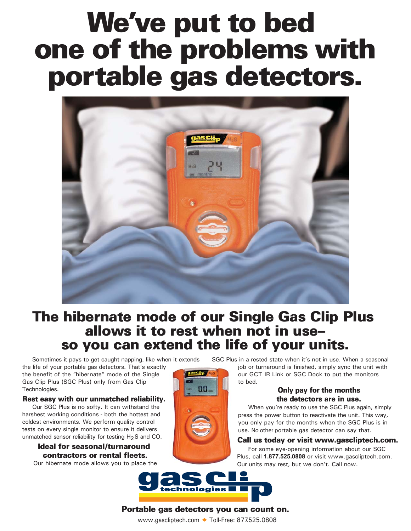# **We've put to bed** one of the problems with portable gas detectors.



## **The hibernate mode of our Single Gas Clip Plus<br>allows it to rest when not in useso you can extend the life of your units.**

Sometimes it pays to get caught napping, like when it extends

the life of your portable gas detectors. That's exactly the benefit of the "hibernate" mode of the Single Gas Clip Plus (SGC Plus) only from Gas Clip Technologies.

#### **Rest easy with our unmatched reliability.**

Our SGC Plus is no softy. It can withstand the harshest working conditions - both the hottest and coldest environments. We perform quality control tests on every single monitor to ensure it delivers unmatched sensor reliability for testing  $H<sub>2</sub>S$  and CO.

#### **Ideal for seasonal/turnaround CONTRACTORS OF FENTAL FIEETS.**

Our hibernate mode allows you to place the

SGC Plus in a rested state when it's not in use. When a seasonal

job or turnaround is finished, simply sync the unit with our GCT IR Link or SGC Dock to put the monitors to bed.

#### **2000** Only pay for the months the detectors are in use.

When you're ready to use the SGC Plus again, simply press the power button to reactivate the unit. This way, you only pay for the months when the SGC Plus is in use. No other portable gas detector can say that.

#### Call us today or visit www.gascliptech.com.

For some eye-opening information about our SGC Plus, call **1.877.525.0808** or visit www.gascliptech.com. Our units may rest, but we don't. Call now.



#### **Portable gas detectors you can count on.**

www.gascliptech.com ◆ Toll-Free: 877.525.0808